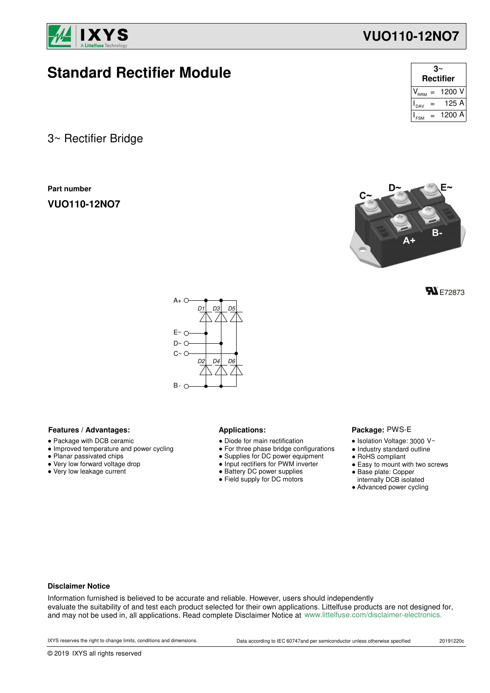

# **Standard Rectifier Module**

3~ Rectifier Bridge

**Part number**

**VUO110-12NO7**

| З<br><b>Rectifier</b> |     |                                   |  |
|-----------------------|-----|-----------------------------------|--|
|                       |     | $V_{\text{RRM}} = 1200 \text{ V}$ |  |
| DAV                   | $=$ | 125 A                             |  |
|                       |     | 1200 A                            |  |

**VUO110-12NO7**



**FN** E72873



### Features / Advantages: **All Applications: Applications:**

- Package with DCB ceramic
- Improved temperature and power cycling
- Planar passivated chips
- Very low forward voltage drop
- Very low leakage current

- Diode for main rectification
- For three phase bridge configurations
- Supplies for DC power equipment
- Input rectifiers for PWM inverter
- Battery DC power supplies
- Field supply for DC motors

### Package: PWS-E

- $\bullet$  Isolation Voltage: 3000 V~
- Industry standard outline
- RoHS compliant
- Easy to mount with two screws
- Base plate: Copper
- internally DCB isolated
- Advanced power cycling

### **Disclaimer Notice**

Information furnished is believed to be accurate and reliable. However, users should independently evaluate the suitability of and test each product selected for their own applications. Littelfuse products are not designed for, and may not be used in, all applications. Read complete Disclaimer Notice at www.littelfuse.com/disclaimer-electronics.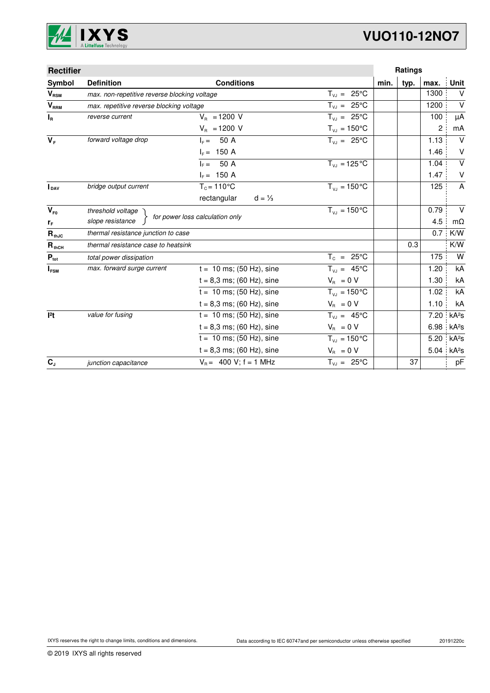

# **VUO110-12NO7**

| <b>Rectifier</b>           |                                               |                                  |                         |      | Ratings |                |                   |
|----------------------------|-----------------------------------------------|----------------------------------|-------------------------|------|---------|----------------|-------------------|
| Symbol                     | <b>Definition</b>                             | <b>Conditions</b>                |                         | min. | typ.    | max.           | Unit              |
| $V_{\text{RSM}}$           | max. non-repetitive reverse blocking voltage  |                                  | $T_{V,1} = 25^{\circ}C$ |      |         | 1300           | $\vee$            |
| $V_{RRM}$                  | max. repetitive reverse blocking voltage      |                                  | $T_{V,1} = 25^{\circ}C$ |      |         | 1200           | $\vee$            |
| $I_R$                      | reverse current                               | $V_{B}$ = 1200 V                 | $T_{VJ} = 25^{\circ}C$  |      |         | 100            | μA                |
|                            |                                               | $V_{\rm B} = 1200$ V             | $T_{VJ} = 150^{\circ}C$ |      |         | $\overline{c}$ | mA                |
| $V_F$                      | forward voltage drop                          | $IE = 50 A$                      | $T_{V,1} = 25^{\circ}C$ |      |         | 1.13           | $\vee$            |
|                            |                                               | $I_F = 150 A$                    |                         |      |         | 1.46           | V                 |
|                            |                                               | 50 A<br>$IF =$                   | $T_{VJ} = 125 °C$       |      |         | 1.04           | $\vee$            |
|                            |                                               | $I_F = 150 A$                    |                         |      |         | 1.47           | V                 |
| <b>I</b> DAV               | bridge output current                         | $T_c = 110^{\circ}$ C            | $T_{V1} = 150^{\circ}C$ |      |         | 125            | A                 |
|                            |                                               | rectangular<br>$d = \frac{1}{3}$ |                         |      |         |                |                   |
| $V_{F0}$                   | $T_{V,1} = 150^{\circ}C$<br>threshold voltage |                                  |                         |      |         | 0.79           | $\vee$            |
| rF                         | slope resistance                              | for power loss calculation only  |                         |      |         | 4.5            | $m\Omega$         |
| $\mathbf{R}_{\text{thJC}}$ | thermal resistance junction to case           |                                  |                         |      |         | 0.7            | K/W               |
| $R_{thCH}$                 | thermal resistance case to heatsink           |                                  |                         |      | 0.3     |                | K/W               |
| $P_{\text{tot}}$           | total power dissipation                       |                                  | $T_c = 25^{\circ}C$     |      |         | 175            | W                 |
| $I_{FSM}$                  | max. forward surge current                    | $t = 10$ ms; (50 Hz), sine       | $T_{VJ} = 45^{\circ}C$  |      |         | 1.20           | kA                |
|                            |                                               | $t = 8,3$ ms; (60 Hz), sine      | $V_{\rm R} = 0 V$       |      |         | 1.30           | kA                |
|                            |                                               | $t = 10$ ms; (50 Hz), sine       | $T_{VJ} = 150 °C$       |      |         | 1.02           | kA                |
|                            |                                               | $t = 8,3$ ms; (60 Hz), sine      | $V_{\rm R} = 0 V$       |      |         | 1.10           | kA                |
| 12t                        | value for fusing                              | $t = 10$ ms; (50 Hz), sine       | $T_{V,1} = 45^{\circ}C$ |      |         | 7.20           | kA <sup>2</sup> S |
|                            |                                               | $t = 8.3$ ms; (60 Hz), sine      | $V_{\rm R} = 0 V$       |      |         | 6.98           | kA <sup>2</sup> S |
|                            |                                               | $t = 10$ ms; (50 Hz), sine       | $T_{VJ} = 150^{\circ}C$ |      |         | 5.20           | kA <sup>2</sup> S |
|                            |                                               | $t = 8.3$ ms; (60 Hz), sine      | $V_{\rm B} = 0 V$       |      |         | 5.04           | kA <sup>2</sup> S |
| $C_{J}$                    | junction capacitance                          | $V_B = 400 V$ ; f = 1 MHz        | $T_{VJ} = 25^{\circ}C$  |      | 37      |                | pF                |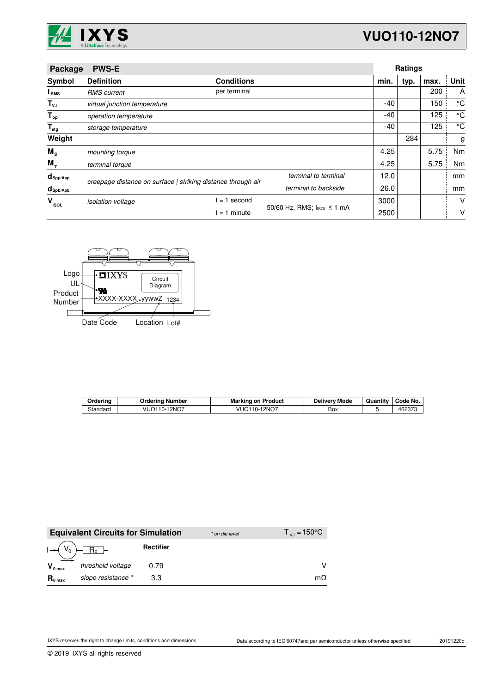

| Package                | <b>PWS-E</b>                 |                                                              |                            |       | <b>Ratings</b> |      |      |
|------------------------|------------------------------|--------------------------------------------------------------|----------------------------|-------|----------------|------|------|
| Symbol                 | <b>Definition</b>            | <b>Conditions</b>                                            |                            | min.  | typ.           | max. | Unit |
| I <sub>RMS</sub>       | <b>RMS</b> current           | per terminal                                                 |                            |       |                | 200  | A    |
| $T_{\nu J}$            | virtual junction temperature |                                                              |                            | $-40$ |                | 150  | °C   |
| $T_{op}$               | operation temperature        |                                                              |                            | $-40$ |                | 125  | °C   |
| $T_{\text{stg}}$       | storage temperature          |                                                              |                            | -40   |                | 125  | °C   |
| Weight                 |                              |                                                              |                            |       | 284            |      | g    |
| $M_{\rm p}$            | mounting torque              |                                                              |                            | 4.25  |                | 5.75 | Nm   |
| $M_{+}$                | terminal torque              |                                                              |                            | 4.25  |                | 5.75 | Nm   |
| $d_{\mathsf{Spp/App}}$ |                              | creepage distance on surface   striking distance through air | terminal to terminal       | 12.0  |                |      | mm   |
| $d_{\text{sph/Apb}}$   |                              |                                                              | terminal to backside       | 26.0  |                |      | mm   |
| v<br><b>ISOL</b>       | <i>isolation</i> voltage     | second<br>$= 1$                                              | 50/60 Hz, RMS; IsoL ≤ 1 mA | 3000  |                |      | V    |
|                        |                              | $= 1$ minute                                                 |                            | 2500  |                |      | ٧    |



| Orderina | Ordering Number           | <b>Marking on Product</b> | <b>Delivery Mode</b> | Quantity | Code No. |
|----------|---------------------------|---------------------------|----------------------|----------|----------|
| Standard | $-12NO7$<br>- VUC<br>10-i | 12NO7<br>VUO110-          | Box                  |          | 462370   |

|                     | <b>Equivalent Circuits for Simulation</b> |           | * on die level | $T_{V1} = 150^{\circ}C$ |
|---------------------|-------------------------------------------|-----------|----------------|-------------------------|
| $I - (V_0)$         | $R_0$ -                                   | Rectifier |                |                         |
| $V_{0 \text{ max}}$ | threshold voltage                         | 0.79      |                |                         |
| $R_{0 \text{ max}}$ | slope resistance *                        | 3.3       |                | $m\Omega$               |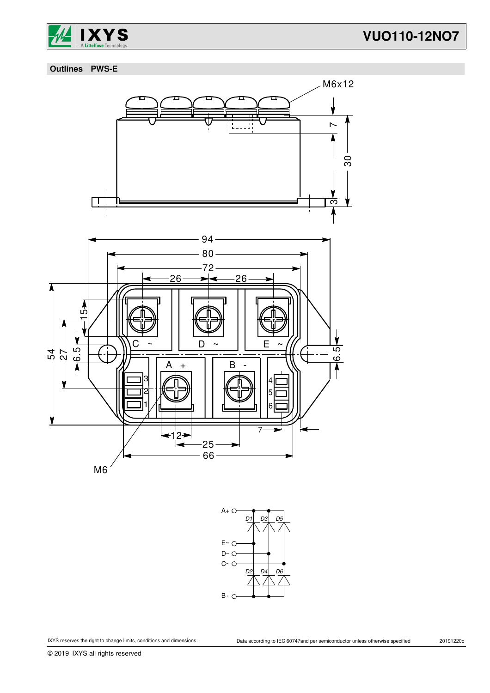

## **VUO110-12NO7**

 **Outlines PWS-E**